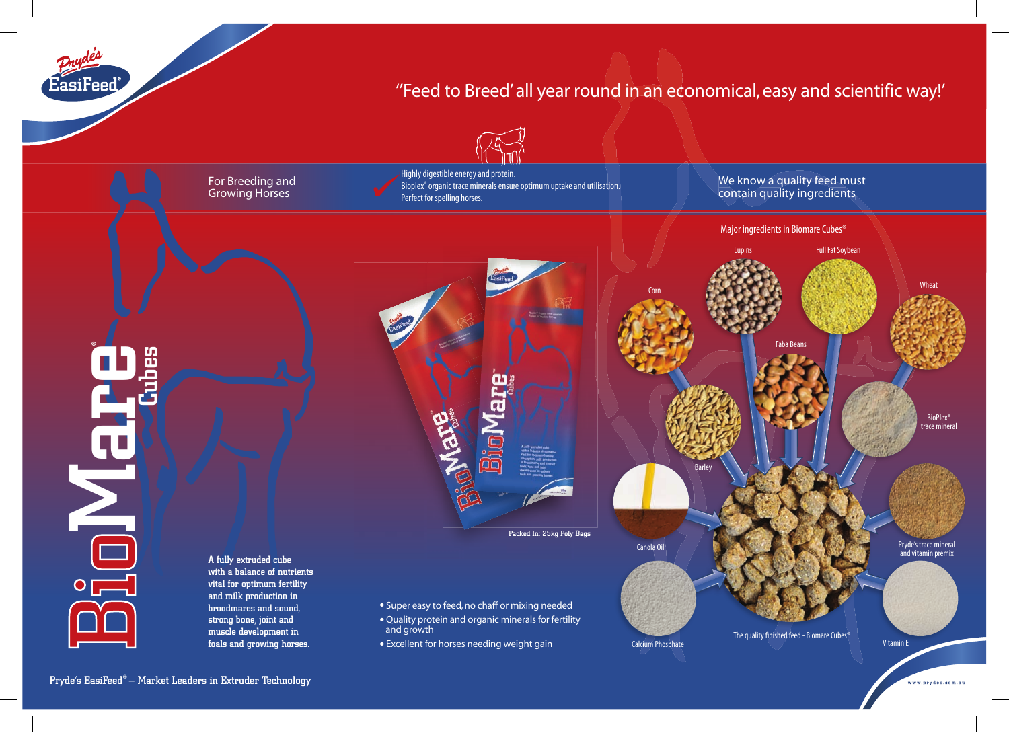EasiFeed

# ''Feed to Breed' all year round in an economical, easy and scientific way!'



For Breeding and Growing Horses

Highly digestible energy and protein. Bioplex® organic trace minerals ensure optimum uptake and utilisation. Perfect for spelling horses.

We know a quality feed must tion.<br>The same of the We know a quality feed must be a more than  $\sim$  contain quality ingredients



<u>pi</u><br>Do oMare cu<br>Cu

A fully extruded cube with a balance of nutrients vital for optimum fertility and milk production in broodmares and sound, strong bone, joint and muscle development in foals and growing horses.

Pryde's EasiFeed®– Market Leaders in Extruder Technology